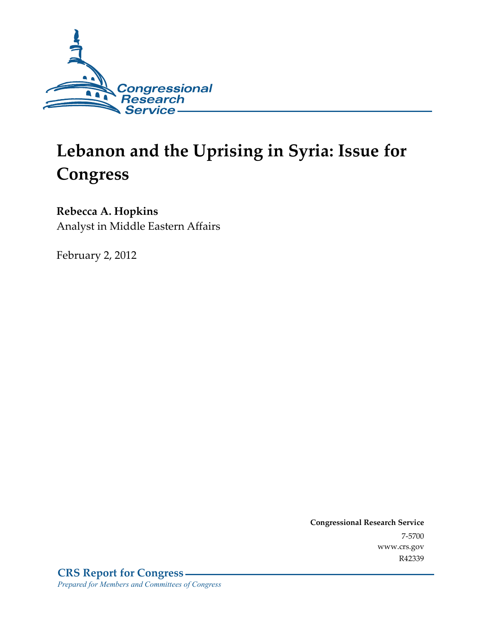

# **Lebanon and the Uprising in Syria: Issue for Congress**

## **Rebecca A. Hopkins**

Analyst in Middle Eastern Affairs

February 2, 2012

**Congressional Research Service**  7-5700 www.crs.gov R42339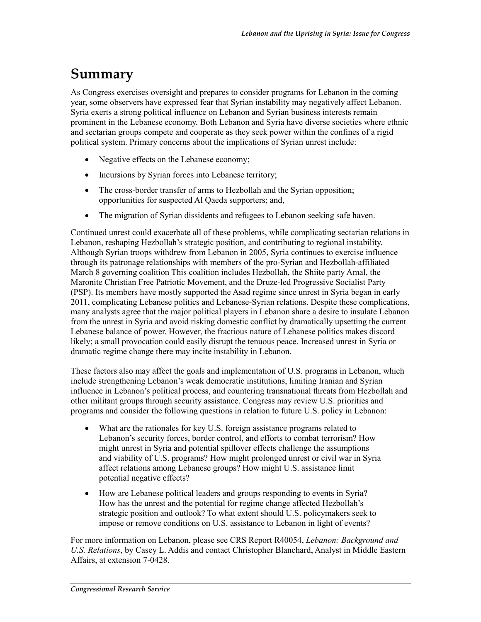## **Summary**

As Congress exercises oversight and prepares to consider programs for Lebanon in the coming year, some observers have expressed fear that Syrian instability may negatively affect Lebanon. Syria exerts a strong political influence on Lebanon and Syrian business interests remain prominent in the Lebanese economy. Both Lebanon and Syria have diverse societies where ethnic and sectarian groups compete and cooperate as they seek power within the confines of a rigid political system. Primary concerns about the implications of Syrian unrest include:

- Negative effects on the Lebanese economy;
- Incursions by Syrian forces into Lebanese territory;
- The cross-border transfer of arms to Hezbollah and the Syrian opposition; opportunities for suspected Al Qaeda supporters; and,
- The migration of Syrian dissidents and refugees to Lebanon seeking safe haven.

Continued unrest could exacerbate all of these problems, while complicating sectarian relations in Lebanon, reshaping Hezbollah's strategic position, and contributing to regional instability. Although Syrian troops withdrew from Lebanon in 2005, Syria continues to exercise influence through its patronage relationships with members of the pro-Syrian and Hezbollah-affiliated March 8 governing coalition This coalition includes Hezbollah, the Shiite party Amal, the Maronite Christian Free Patriotic Movement, and the Druze-led Progressive Socialist Party (PSP). Its members have mostly supported the Asad regime since unrest in Syria began in early 2011, complicating Lebanese politics and Lebanese-Syrian relations. Despite these complications, many analysts agree that the major political players in Lebanon share a desire to insulate Lebanon from the unrest in Syria and avoid risking domestic conflict by dramatically upsetting the current Lebanese balance of power. However, the fractious nature of Lebanese politics makes discord likely; a small provocation could easily disrupt the tenuous peace. Increased unrest in Syria or dramatic regime change there may incite instability in Lebanon.

These factors also may affect the goals and implementation of U.S. programs in Lebanon, which include strengthening Lebanon's weak democratic institutions, limiting Iranian and Syrian influence in Lebanon's political process, and countering transnational threats from Hezbollah and other militant groups through security assistance. Congress may review U.S. priorities and programs and consider the following questions in relation to future U.S. policy in Lebanon:

- What are the rationales for key U.S. foreign assistance programs related to Lebanon's security forces, border control, and efforts to combat terrorism? How might unrest in Syria and potential spillover effects challenge the assumptions and viability of U.S. programs? How might prolonged unrest or civil war in Syria affect relations among Lebanese groups? How might U.S. assistance limit potential negative effects?
- How are Lebanese political leaders and groups responding to events in Syria? How has the unrest and the potential for regime change affected Hezbollah's strategic position and outlook? To what extent should U.S. policymakers seek to impose or remove conditions on U.S. assistance to Lebanon in light of events?

For more information on Lebanon, please see CRS Report R40054, *Lebanon: Background and U.S. Relations*, by Casey L. Addis and contact Christopher Blanchard, Analyst in Middle Eastern Affairs, at extension 7-0428.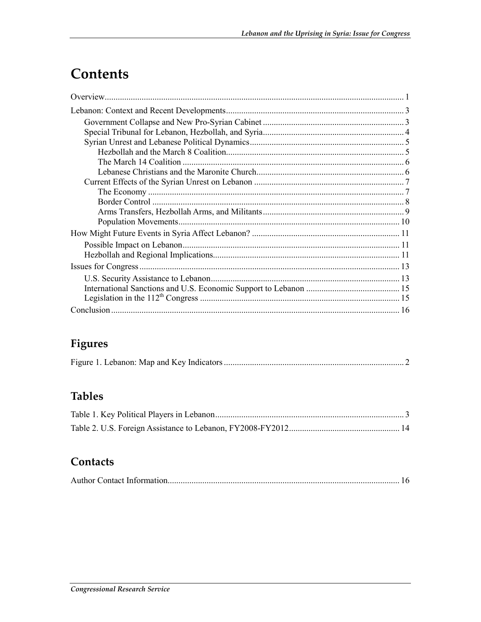## **Contents**

| The March 14 Coalition |  |
|------------------------|--|
|                        |  |
|                        |  |
|                        |  |
|                        |  |
|                        |  |
|                        |  |
|                        |  |
|                        |  |
|                        |  |
|                        |  |
|                        |  |
|                        |  |
|                        |  |
|                        |  |

## Figures

|--|--|--|

## **Tables**

### Contacts

|--|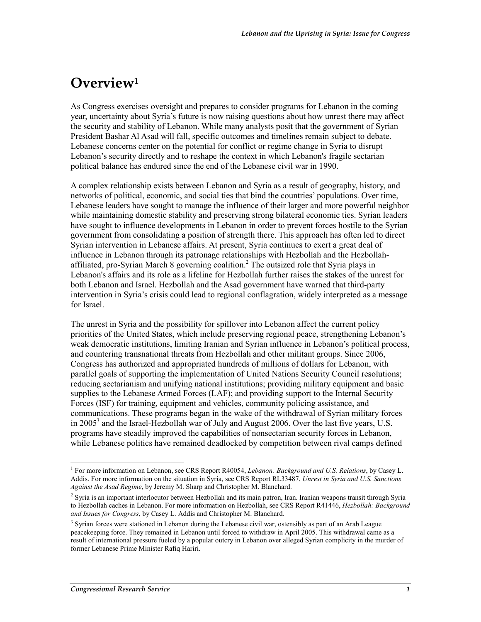## **Overview1**

As Congress exercises oversight and prepares to consider programs for Lebanon in the coming year, uncertainty about Syria's future is now raising questions about how unrest there may affect the security and stability of Lebanon. While many analysts posit that the government of Syrian President Bashar Al Asad will fall, specific outcomes and timelines remain subject to debate. Lebanese concerns center on the potential for conflict or regime change in Syria to disrupt Lebanon's security directly and to reshape the context in which Lebanon's fragile sectarian political balance has endured since the end of the Lebanese civil war in 1990.

A complex relationship exists between Lebanon and Syria as a result of geography, history, and networks of political, economic, and social ties that bind the countries' populations. Over time, Lebanese leaders have sought to manage the influence of their larger and more powerful neighbor while maintaining domestic stability and preserving strong bilateral economic ties. Syrian leaders have sought to influence developments in Lebanon in order to prevent forces hostile to the Syrian government from consolidating a position of strength there. This approach has often led to direct Syrian intervention in Lebanese affairs. At present, Syria continues to exert a great deal of influence in Lebanon through its patronage relationships with Hezbollah and the Hezbollahaffiliated, pro-Syrian March 8 governing coalition.<sup>2</sup> The outsized role that Syria plays in Lebanon's affairs and its role as a lifeline for Hezbollah further raises the stakes of the unrest for both Lebanon and Israel. Hezbollah and the Asad government have warned that third-party intervention in Syria's crisis could lead to regional conflagration, widely interpreted as a message for Israel.

The unrest in Syria and the possibility for spillover into Lebanon affect the current policy priorities of the United States, which include preserving regional peace, strengthening Lebanon's weak democratic institutions, limiting Iranian and Syrian influence in Lebanon's political process, and countering transnational threats from Hezbollah and other militant groups. Since 2006, Congress has authorized and appropriated hundreds of millions of dollars for Lebanon, with parallel goals of supporting the implementation of United Nations Security Council resolutions; reducing sectarianism and unifying national institutions; providing military equipment and basic supplies to the Lebanese Armed Forces (LAF); and providing support to the Internal Security Forces (ISF) for training, equipment and vehicles, community policing assistance, and communications. These programs began in the wake of the withdrawal of Syrian military forces in 2005<sup>3</sup> and the Israel-Hezbollah war of July and August 2006. Over the last five years, U.S. programs have steadily improved the capabilities of nonsectarian security forces in Lebanon, while Lebanese politics have remained deadlocked by competition between rival camps defined

<sup>1</sup> For more information on Lebanon, see CRS Report R40054, *Lebanon: Background and U.S. Relations*, by Casey L. Addis. For more information on the situation in Syria, see CRS Report RL33487, *Unrest in Syria and U.S. Sanctions Against the Asad Regime*, by Jeremy M. Sharp and Christopher M. Blanchard.

<sup>&</sup>lt;sup>2</sup> Syria is an important interlocutor between Hezbollah and its main patron, Iran. Iranian weapons transit through Syria to Hezbollah caches in Lebanon. For more information on Hezbollah, see CRS Report R41446, *Hezbollah: Background and Issues for Congress*, by Casey L. Addis and Christopher M. Blanchard.

<sup>&</sup>lt;sup>3</sup> Syrian forces were stationed in Lebanon during the Lebanese civil war, ostensibly as part of an Arab League peacekeeping force. They remained in Lebanon until forced to withdraw in April 2005. This withdrawal came as a result of international pressure fueled by a popular outcry in Lebanon over alleged Syrian complicity in the murder of former Lebanese Prime Minister Rafiq Hariri.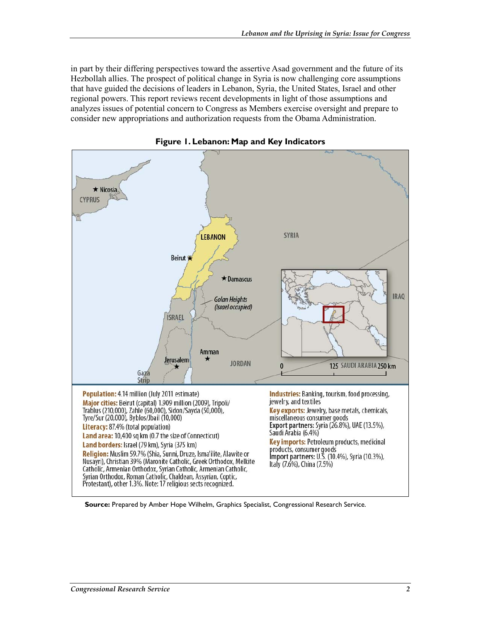in part by their differing perspectives toward the assertive Asad government and the future of its Hezbollah allies. The prospect of political change in Syria is now challenging core assumptions that have guided the decisions of leaders in Lebanon, Syria, the United States, Israel and other regional powers. This report reviews recent developments in light of those assumptions and analyzes issues of potential concern to Congress as Members exercise oversight and prepare to consider new appropriations and authorization requests from the Obama Administration.



**Figure 1. Lebanon: Map and Key Indicators** 

**Source:** Prepared by Amber Hope Wilhelm, Graphics Specialist, Congressional Research Service.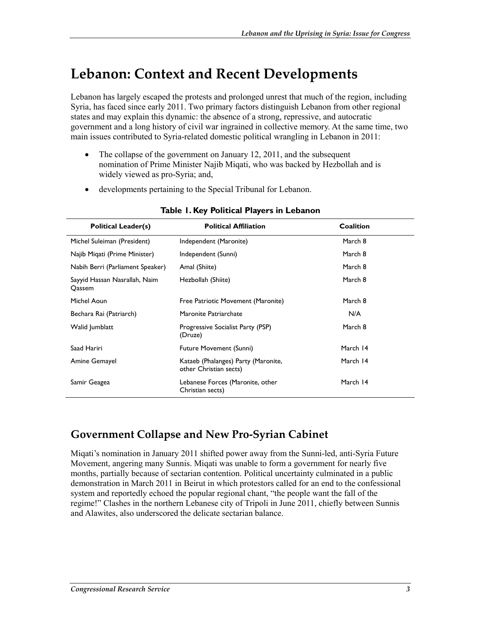## **Lebanon: Context and Recent Developments**

Lebanon has largely escaped the protests and prolonged unrest that much of the region, including Syria, has faced since early 2011. Two primary factors distinguish Lebanon from other regional states and may explain this dynamic: the absence of a strong, repressive, and autocratic government and a long history of civil war ingrained in collective memory. At the same time, two main issues contributed to Syria-related domestic political wrangling in Lebanon in 2011:

- The collapse of the government on January 12, 2011, and the subsequent nomination of Prime Minister Najib Miqati, who was backed by Hezbollah and is widely viewed as pro-Syria; and,
- developments pertaining to the Special Tribunal for Lebanon.

| <b>Political Leader(s)</b>              | <b>Political Affiliation</b>                                  | Coalition |
|-----------------------------------------|---------------------------------------------------------------|-----------|
| Michel Suleiman (President)             | Independent (Maronite)                                        | March 8   |
| Najib Migati (Prime Minister)           | Independent (Sunni)                                           | March 8   |
| Nabih Berri (Parliament Speaker)        | Amal (Shiite)                                                 | March 8   |
| Sayyid Hassan Nasrallah, Naim<br>Qassem | Hezbollah (Shiite)                                            | March 8   |
| Michel Aoun                             | Free Patriotic Movement (Maronite)                            | March 8   |
| Bechara Rai (Patriarch)                 | Maronite Patriarchate                                         | N/A       |
| Walid Jumblatt                          | Progressive Socialist Party (PSP)<br>(Druze)                  | March 8   |
| Saad Hariri                             | Future Movement (Sunni)                                       | March 14  |
| Amine Gemayel                           | Kataeb (Phalanges) Party (Maronite,<br>other Christian sects) | March 14  |
| Samir Geagea                            | Lebanese Forces (Maronite, other<br>Christian sects)          | March 14  |

#### **Table 1. Key Political Players in Lebanon**

### **Government Collapse and New Pro-Syrian Cabinet**

Miqati's nomination in January 2011 shifted power away from the Sunni-led, anti-Syria Future Movement, angering many Sunnis. Miqati was unable to form a government for nearly five months, partially because of sectarian contention. Political uncertainty culminated in a public demonstration in March 2011 in Beirut in which protestors called for an end to the confessional system and reportedly echoed the popular regional chant, "the people want the fall of the regime!" Clashes in the northern Lebanese city of Tripoli in June 2011, chiefly between Sunnis and Alawites, also underscored the delicate sectarian balance.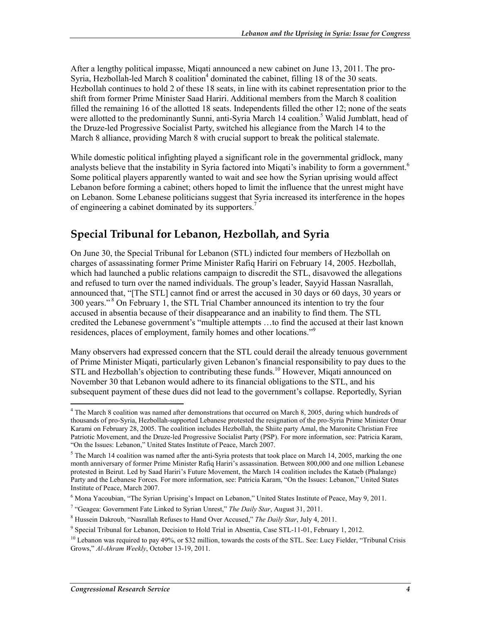After a lengthy political impasse, Miqati announced a new cabinet on June 13, 2011. The pro-Syria, Hezbollah-led March 8 coalition<sup>4</sup> dominated the cabinet, filling 18 of the 30 seats. Hezbollah continues to hold 2 of these 18 seats, in line with its cabinet representation prior to the shift from former Prime Minister Saad Hariri. Additional members from the March 8 coalition filled the remaining 16 of the allotted 18 seats. Independents filled the other 12; none of the seats were allotted to the predominantly Sunni, anti-Syria March 14 coalition.<sup>5</sup> Walid Jumblatt, head of the Druze-led Progressive Socialist Party, switched his allegiance from the March 14 to the March 8 alliance, providing March 8 with crucial support to break the political stalemate.

While domestic political infighting played a significant role in the governmental gridlock, many analysts believe that the instability in Syria factored into Migati's inability to form a government.<sup>6</sup> Some political players apparently wanted to wait and see how the Syrian uprising would affect Lebanon before forming a cabinet; others hoped to limit the influence that the unrest might have on Lebanon. Some Lebanese politicians suggest that Syria increased its interference in the hopes of engineering a cabinet dominated by its supporters.7

## **Special Tribunal for Lebanon, Hezbollah, and Syria**

On June 30, the Special Tribunal for Lebanon (STL) indicted four members of Hezbollah on charges of assassinating former Prime Minister Rafiq Hariri on February 14, 2005. Hezbollah, which had launched a public relations campaign to discredit the STL, disavowed the allegations and refused to turn over the named individuals. The group's leader, Sayyid Hassan Nasrallah, announced that, "[The STL] cannot find or arrest the accused in 30 days or 60 days, 30 years or 300 years." 8 On February 1, the STL Trial Chamber announced its intention to try the four accused in absentia because of their disappearance and an inability to find them. The STL credited the Lebanese government's "multiple attempts …to find the accused at their last known residences, places of employment, family homes and other locations."<sup>9</sup>

Many observers had expressed concern that the STL could derail the already tenuous government of Prime Minister Miqati, particularly given Lebanon's financial responsibility to pay dues to the STL and Hezbollah's objection to contributing these funds.<sup>10</sup> However, Miqati announced on November 30 that Lebanon would adhere to its financial obligations to the STL, and his subsequent payment of these dues did not lead to the government's collapse. Reportedly, Syrian

<u>.</u>

<sup>&</sup>lt;sup>4</sup> The March 8 coalition was named after demonstrations that occurred on March 8, 2005, during which hundreds of thousands of pro-Syria, Hezbollah-supported Lebanese protested the resignation of the pro-Syria Prime Minister Omar Karami on February 28, 2005. The coalition includes Hezbollah, the Shiite party Amal, the Maronite Christian Free Patriotic Movement, and the Druze-led Progressive Socialist Party (PSP). For more information, see: Patricia Karam, "On the Issues: Lebanon," United States Institute of Peace, March 2007.

 $<sup>5</sup>$  The March 14 coalition was named after the anti-Syria protests that took place on March 14, 2005, marking the one</sup> month anniversary of former Prime Minister Rafiq Hariri's assassination. Between 800,000 and one million Lebanese protested in Beirut. Led by Saad Hariri's Future Movement, the March 14 coalition includes the Kataeb (Phalange) Party and the Lebanese Forces. For more information, see: Patricia Karam, "On the Issues: Lebanon," United States Institute of Peace, March 2007.

<sup>&</sup>lt;sup>6</sup> Mona Yacoubian, "The Syrian Uprising's Impact on Lebanon," United States Institute of Peace, May 9, 2011.

<sup>&</sup>lt;sup>7</sup> "Geagea: Government Fate Linked to Syrian Unrest," The Daily Star, August 31, 2011.

<sup>8</sup> Hussein Dakroub, "Nasrallah Refuses to Hand Over Accused," *The Daily Star*, July 4, 2011.

<sup>&</sup>lt;sup>9</sup> Special Tribunal for Lebanon, Decision to Hold Trial in Absentia, Case STL-11-01, February 1, 2012.

 $10$  Lebanon was required to pay 49%, or \$32 million, towards the costs of the STL. See: Lucy Fielder, "Tribunal Crisis" Grows," *Al-Ahram Weekly*, October 13-19, 2011.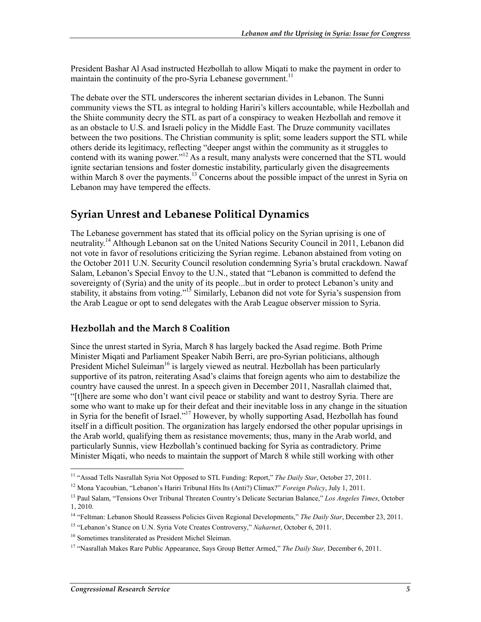President Bashar Al Asad instructed Hezbollah to allow Miqati to make the payment in order to maintain the continuity of the pro-Syria Lebanese government.<sup>11</sup>

The debate over the STL underscores the inherent sectarian divides in Lebanon. The Sunni community views the STL as integral to holding Hariri's killers accountable, while Hezbollah and the Shiite community decry the STL as part of a conspiracy to weaken Hezbollah and remove it as an obstacle to U.S. and Israeli policy in the Middle East. The Druze community vacillates between the two positions. The Christian community is split; some leaders support the STL while others deride its legitimacy, reflecting "deeper angst within the community as it struggles to contend with its waning power."<sup>12</sup> As a result, many analysts were concerned that the STL would ignite sectarian tensions and foster domestic instability, particularly given the disagreements within March 8 over the payments.<sup>13</sup> Concerns about the possible impact of the unrest in Syria on Lebanon may have tempered the effects.

### **Syrian Unrest and Lebanese Political Dynamics**

The Lebanese government has stated that its official policy on the Syrian uprising is one of neutrality.<sup>14</sup> Although Lebanon sat on the United Nations Security Council in 2011, Lebanon did not vote in favor of resolutions criticizing the Syrian regime. Lebanon abstained from voting on the October 2011 U.N. Security Council resolution condemning Syria's brutal crackdown. Nawaf Salam, Lebanon's Special Envoy to the U.N., stated that "Lebanon is committed to defend the sovereignty of (Syria) and the unity of its people...but in order to protect Lebanon's unity and stability, it abstains from voting."<sup>15</sup> Similarly, Lebanon did not vote for Syria's suspension from the Arab League or opt to send delegates with the Arab League observer mission to Syria.

#### **Hezbollah and the March 8 Coalition**

Since the unrest started in Syria, March 8 has largely backed the Asad regime. Both Prime Minister Miqati and Parliament Speaker Nabih Berri, are pro-Syrian politicians, although President Michel Suleiman<sup>16</sup> is largely viewed as neutral. Hezbollah has been particularly supportive of its patron, reiterating Asad's claims that foreign agents who aim to destabilize the country have caused the unrest. In a speech given in December 2011, Nasrallah claimed that, "[t]here are some who don't want civil peace or stability and want to destroy Syria. There are some who want to make up for their defeat and their inevitable loss in any change in the situation in Syria for the benefit of Israel."17 However, by wholly supporting Asad, Hezbollah has found itself in a difficult position. The organization has largely endorsed the other popular uprisings in the Arab world, qualifying them as resistance movements; thus, many in the Arab world, and particularly Sunnis, view Hezbollah's continued backing for Syria as contradictory. Prime Minister Miqati, who needs to maintain the support of March 8 while still working with other

<sup>11 &</sup>quot;Assad Tells Nasrallah Syria Not Opposed to STL Funding: Report," *The Daily Star*, October 27, 2011.

<sup>12</sup> Mona Yacoubian, "Lebanon's Hariri Tribunal Hits Its (Anti?) Climax?" *Foreign Policy*, July 1, 2011.

<sup>13</sup> Paul Salam, "Tensions Over Tribunal Threaten Country's Delicate Sectarian Balance," *Los Angeles Times*, October 1, 2010.

<sup>&</sup>lt;sup>14</sup> "Feltman: Lebanon Should Reassess Policies Given Regional Developments," *The Daily Star*, December 23, 2011.

<sup>15 &</sup>quot;Lebanon's Stance on U.N. Syria Vote Creates Controversy," *Naharnet*, October 6, 2011.

<sup>16</sup> Sometimes transliterated as President Michel Sleiman.

<sup>17 &</sup>quot;Nasrallah Makes Rare Public Appearance, Says Group Better Armed," *The Daily Star,* December 6, 2011.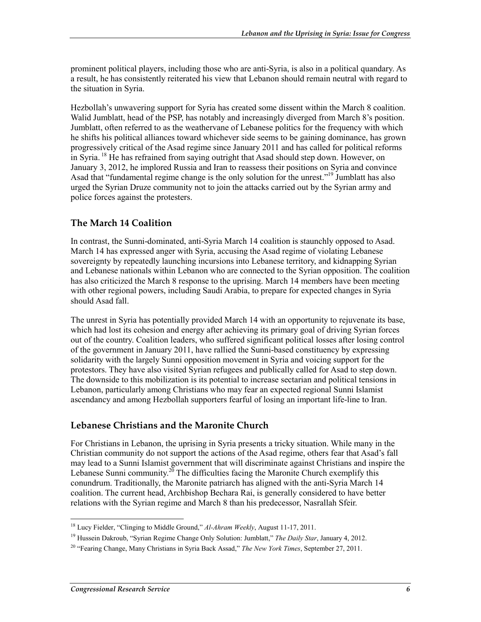prominent political players, including those who are anti-Syria, is also in a political quandary. As a result, he has consistently reiterated his view that Lebanon should remain neutral with regard to the situation in Syria.

Hezbollah's unwavering support for Syria has created some dissent within the March 8 coalition. Walid Jumblatt, head of the PSP, has notably and increasingly diverged from March 8's position. Jumblatt, often referred to as the weathervane of Lebanese politics for the frequency with which he shifts his political alliances toward whichever side seems to be gaining dominance, has grown progressively critical of the Asad regime since January 2011 and has called for political reforms in Syria. 18 He has refrained from saying outright that Asad should step down. However, on January 3, 2012, he implored Russia and Iran to reassess their positions on Syria and convince Asad that "fundamental regime change is the only solution for the unrest."<sup>19</sup> Jumblatt has also urged the Syrian Druze community not to join the attacks carried out by the Syrian army and police forces against the protesters.

#### **The March 14 Coalition**

In contrast, the Sunni-dominated, anti-Syria March 14 coalition is staunchly opposed to Asad. March 14 has expressed anger with Syria, accusing the Asad regime of violating Lebanese sovereignty by repeatedly launching incursions into Lebanese territory, and kidnapping Syrian and Lebanese nationals within Lebanon who are connected to the Syrian opposition. The coalition has also criticized the March 8 response to the uprising. March 14 members have been meeting with other regional powers, including Saudi Arabia, to prepare for expected changes in Syria should Asad fall.

The unrest in Syria has potentially provided March 14 with an opportunity to rejuvenate its base, which had lost its cohesion and energy after achieving its primary goal of driving Syrian forces out of the country. Coalition leaders, who suffered significant political losses after losing control of the government in January 2011, have rallied the Sunni-based constituency by expressing solidarity with the largely Sunni opposition movement in Syria and voicing support for the protestors. They have also visited Syrian refugees and publically called for Asad to step down. The downside to this mobilization is its potential to increase sectarian and political tensions in Lebanon, particularly among Christians who may fear an expected regional Sunni Islamist ascendancy and among Hezbollah supporters fearful of losing an important life-line to Iran.

#### **Lebanese Christians and the Maronite Church**

For Christians in Lebanon, the uprising in Syria presents a tricky situation. While many in the Christian community do not support the actions of the Asad regime, others fear that Asad's fall may lead to a Sunni Islamist government that will discriminate against Christians and inspire the Lebanese Sunni community.<sup>20</sup> The difficulties facing the Maronite Church exemplify this conundrum. Traditionally, the Maronite patriarch has aligned with the anti-Syria March 14 coalition. The current head, Archbishop Bechara Rai, is generally considered to have better relations with the Syrian regime and March 8 than his predecessor, Nasrallah Sfeir.

<sup>18</sup> Lucy Fielder, "Clinging to Middle Ground," *Al-Ahram Weekly*, August 11-17, 2011.

<sup>19</sup> Hussein Dakroub, "Syrian Regime Change Only Solution: Jumblatt," *The Daily Star*, January 4, 2012.

<sup>20 &</sup>quot;Fearing Change, Many Christians in Syria Back Assad," *The New York Times*, September 27, 2011.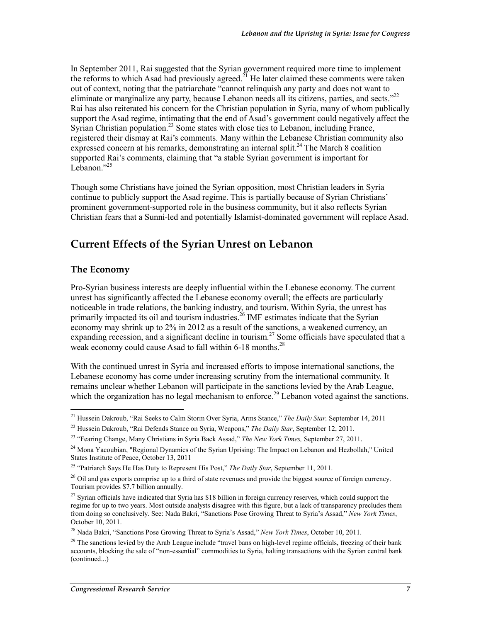In September 2011, Rai suggested that the Syrian government required more time to implement the reforms to which Asad had previously agreed.<sup>21</sup> He later claimed these comments were taken out of context, noting that the patriarchate "cannot relinquish any party and does not want to eliminate or marginalize any party, because Lebanon needs all its citizens, parties, and sects."<sup>22</sup> Rai has also reiterated his concern for the Christian population in Syria, many of whom publically support the Asad regime, intimating that the end of Asad's government could negatively affect the Syrian Christian population.<sup>23</sup> Some states with close ties to Lebanon, including France, registered their dismay at Rai's comments. Many within the Lebanese Christian community also expressed concern at his remarks, demonstrating an internal split.<sup>24</sup> The March 8 coalition supported Rai's comments, claiming that "a stable Syrian government is important for Lebanon<sup> $,25$ </sup>

Though some Christians have joined the Syrian opposition, most Christian leaders in Syria continue to publicly support the Asad regime. This is partially because of Syrian Christians' prominent government-supported role in the business community, but it also reflects Syrian Christian fears that a Sunni-led and potentially Islamist-dominated government will replace Asad.

### **Current Effects of the Syrian Unrest on Lebanon**

#### **The Economy**

Pro-Syrian business interests are deeply influential within the Lebanese economy. The current unrest has significantly affected the Lebanese economy overall; the effects are particularly noticeable in trade relations, the banking industry, and tourism. Within Syria, the unrest has primarily impacted its oil and tourism industries.<sup>26</sup> IMF estimates indicate that the Syrian economy may shrink up to 2% in 2012 as a result of the sanctions, a weakened currency, an expanding recession, and a significant decline in tourism.<sup>27</sup> Some officials have speculated that a weak economy could cause Asad to fall within  $6-18$  months.<sup>28</sup>

With the continued unrest in Syria and increased efforts to impose international sanctions, the Lebanese economy has come under increasing scrutiny from the international community. It remains unclear whether Lebanon will participate in the sanctions levied by the Arab League, which the organization has no legal mechanism to enforce.<sup>29</sup> Lebanon voted against the sanctions.

<sup>1</sup> 21 Hussein Dakroub, "Rai Seeks to Calm Storm Over Syria, Arms Stance," *The Daily Star,* September 14, 2011

<sup>22</sup> Hussein Dakroub, "Rai Defends Stance on Syria, Weapons," *The Daily Star*, September 12, 2011.

<sup>23 &</sup>quot;Fearing Change, Many Christians in Syria Back Assad," *The New York Times,* September 27, 2011.

<sup>&</sup>lt;sup>24</sup> Mona Yacoubian, "Regional Dynamics of the Syrian Uprising: The Impact on Lebanon and Hezbollah," United States Institute of Peace, October 13, 2011

<sup>25 &</sup>quot;Patriarch Says He Has Duty to Represent His Post," *The Daily Star*, September 11, 2011.

 $^{26}$  Oil and gas exports comprise up to a third of state revenues and provide the biggest source of foreign currency. Tourism provides \$7.7 billion annually.

<sup>&</sup>lt;sup>27</sup> Syrian officials have indicated that Syria has \$18 billion in foreign currency reserves, which could support the regime for up to two years. Most outside analysts disagree with this figure, but a lack of transparency precludes them from doing so conclusively. See: Nada Bakri, "Sanctions Pose Growing Threat to Syria's Assad," *New York Times*, October 10, 2011.

<sup>28</sup> Nada Bakri, "Sanctions Pose Growing Threat to Syria's Assad," *New York Times*, October 10, 2011.

<sup>&</sup>lt;sup>29</sup> The sanctions levied by the Arab League include "travel bans on high-level regime officials, freezing of their bank accounts, blocking the sale of "non-essential" commodities to Syria, halting transactions with the Syrian central bank (continued...)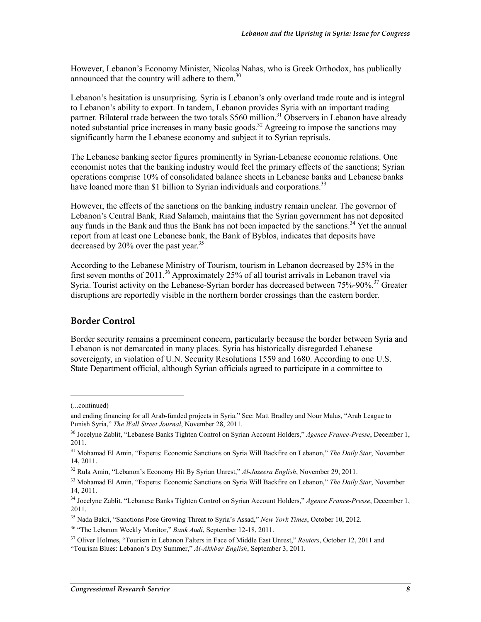However, Lebanon's Economy Minister, Nicolas Nahas, who is Greek Orthodox, has publically announced that the country will adhere to them.<sup>30</sup>

Lebanon's hesitation is unsurprising. Syria is Lebanon's only overland trade route and is integral to Lebanon's ability to export. In tandem, Lebanon provides Syria with an important trading partner. Bilateral trade between the two totals \$560 million.<sup>31</sup> Observers in Lebanon have already partier. Enalter that seems the two computes of the same the same in propose the sanctions may noted substantial price increases in many basic goods.<sup>32</sup> Agreeing to impose the sanctions may significantly harm the Lebanese economy and subject it to Syrian reprisals.

The Lebanese banking sector figures prominently in Syrian-Lebanese economic relations. One economist notes that the banking industry would feel the primary effects of the sanctions; Syrian operations comprise 10% of consolidated balance sheets in Lebanese banks and Lebanese banks have loaned more than \$1 billion to Syrian individuals and corporations.<sup>33</sup>

However, the effects of the sanctions on the banking industry remain unclear. The governor of Lebanon's Central Bank, Riad Salameh, maintains that the Syrian government has not deposited any funds in the Bank and thus the Bank has not been impacted by the sanctions.<sup>34</sup> Yet the annual report from at least one Lebanese bank, the Bank of Byblos, indicates that deposits have decreased by 20% over the past year.<sup>35</sup>

According to the Lebanese Ministry of Tourism, tourism in Lebanon decreased by 25% in the first seven months of 2011.<sup>36</sup> Approximately 25% of all tourist arrivals in Lebanon travel via Syria. Tourist activity on the Lebanese-Syrian border has decreased between 75%-90%.<sup>37</sup> Greater disruptions are reportedly visible in the northern border crossings than the eastern border.

#### **Border Control**

Border security remains a preeminent concern, particularly because the border between Syria and Lebanon is not demarcated in many places. Syria has historically disregarded Lebanese sovereignty, in violation of U.N. Security Resolutions 1559 and 1680. According to one U.S. State Department official, although Syrian officials agreed to participate in a committee to

 $\overline{a}$ 

<sup>(...</sup>continued)

and ending financing for all Arab-funded projects in Syria." See: Matt Bradley and Nour Malas, "Arab League to Punish Syria," *The Wall Street Journal*, November 28, 2011.

<sup>30</sup> Jocelyne Zablit, "Lebanese Banks Tighten Control on Syrian Account Holders," *Agence France-Presse*, December 1, 2011.

<sup>31</sup> Mohamad El Amin, "Experts: Economic Sanctions on Syria Will Backfire on Lebanon," *The Daily Star*, November 14, 2011.

<sup>32</sup> Rula Amin, "Lebanon's Economy Hit By Syrian Unrest," *Al-Jazeera English*, November 29, 2011.

<sup>33</sup> Mohamad El Amin, "Experts: Economic Sanctions on Syria Will Backfire on Lebanon," *The Daily Star*, November 14, 2011.

<sup>34</sup> Jocelyne Zablit. "Lebanese Banks Tighten Control on Syrian Account Holders," *Agence France-Presse*, December 1, 2011.

<sup>35</sup> Nada Bakri, "Sanctions Pose Growing Threat to Syria's Assad," *New York Times*, October 10, 2012.

<sup>36 &</sup>quot;The Lebanon Weekly Monitor," *Bank Audi*, September 12-18, 2011.

<sup>37</sup> Oliver Holmes, "Tourism in Lebanon Falters in Face of Middle East Unrest," *Reuters*, October 12, 2011 and

<sup>&</sup>quot;Tourism Blues: Lebanon's Dry Summer," *Al-Akhbar English*, September 3, 2011.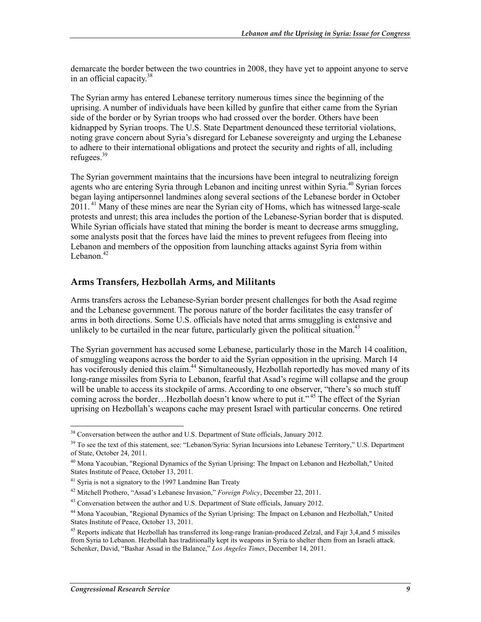demarcate the border between the two countries in 2008, they have yet to appoint anyone to serve in an official capacity.<sup>38</sup>

The Syrian army has entered Lebanese territory numerous times since the beginning of the uprising. A number of individuals have been killed by gunfire that either came from the Syrian side of the border or by Syrian troops who had crossed over the border. Others have been kidnapped by Syrian troops. The U.S. State Department denounced these territorial violations, noting grave concern about Syria's disregard for Lebanese sovereignty and urging the Lebanese to adhere to their international obligations and protect the security and rights of all, including refugees.39

The Syrian government maintains that the incursions have been integral to neutralizing foreign agents who are entering Syria through Lebanon and inciting unrest within Syria.<sup>40</sup> Syrian forces began laying antipersonnel landmines along several sections of the Lebanese border in October 2011.<sup>41</sup> Many of these mines are near the Syrian city of Homs, which has witnessed large-scale protests and unrest; this area includes the portion of the Lebanese-Syrian border that is disputed. While Syrian officials have stated that mining the border is meant to decrease arms smuggling, some analysts posit that the forces have laid the mines to prevent refugees from fleeing into Lebanon and members of the opposition from launching attacks against Syria from within Lebanon. $42$ 

#### **Arms Transfers, Hezbollah Arms, and Militants**

Arms transfers across the Lebanese-Syrian border present challenges for both the Asad regime and the Lebanese government. The porous nature of the border facilitates the easy transfer of arms in both directions. Some U.S. officials have noted that arms smuggling is extensive and unlikely to be curtailed in the near future, particularly given the political situation.<sup>43</sup>

The Syrian government has accused some Lebanese, particularly those in the March 14 coalition, of smuggling weapons across the border to aid the Syrian opposition in the uprising. March 14 has vociferously denied this claim.<sup>44</sup> Simultaneously, Hezbollah reportedly has moved many of its long-range missiles from Syria to Lebanon, fearful that Asad's regime will collapse and the group will be unable to access its stockpile of arms. According to one observer, "there's so much stuff coming across the border...Hezbollah doesn't know where to put it."<sup>45</sup> The effect of the Syrian uprising on Hezbollah's weapons cache may present Israel with particular concerns. One retired

<u>.</u>

 $38$  Conversation between the author and U.S. Department of State officials, January 2012.

<sup>&</sup>lt;sup>39</sup> To see the text of this statement, see: "Lebanon/Syria: Syrian Incursions into Lebanese Territory," U.S. Department of State, October 24, 2011.

<sup>&</sup>lt;sup>40</sup> Mona Yacoubian, "Regional Dynamics of the Syrian Uprising: The Impact on Lebanon and Hezbollah," United States Institute of Peace, October 13, 2011.

<sup>41</sup> Syria is not a signatory to the 1997 Landmine Ban Treaty

<sup>42</sup> Mitchell Prothero, "Assad's Lebanese Invasion," *Foreign Policy*, December 22, 2011.

<sup>&</sup>lt;sup>43</sup> Conversation between the author and U.S. Department of State officials, January 2012.

<sup>44</sup> Mona Yacoubian, "Regional Dynamics of the Syrian Uprising: The Impact on Lebanon and Hezbollah," United States Institute of Peace, October 13, 2011.

<sup>&</sup>lt;sup>45</sup> Reports indicate that Hezbollah has transferred its long-range Iranian-produced Zelzal, and Fajr 3,4,and 5 missiles from Syria to Lebanon. Hezbollah has traditionally kept its weapons in Syria to shelter them from an Israeli attack. Schenker, David, "Bashar Assad in the Balance," *Los Angeles Times*, December 14, 2011.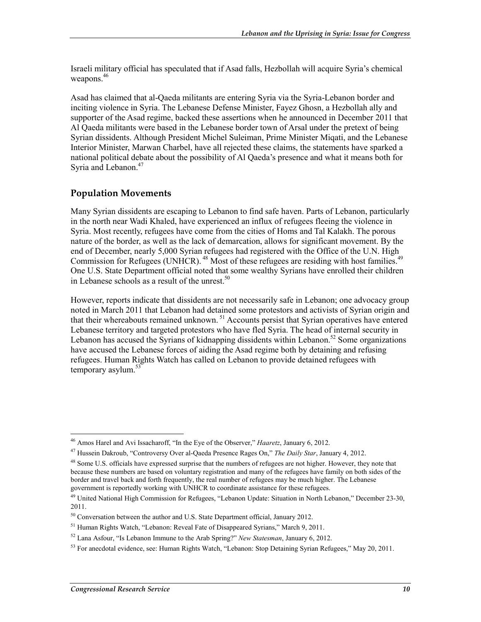Israeli military official has speculated that if Asad falls, Hezbollah will acquire Syria's chemical weapons.<sup>46</sup>

Asad has claimed that al-Qaeda militants are entering Syria via the Syria-Lebanon border and inciting violence in Syria. The Lebanese Defense Minister, Fayez Ghosn, a Hezbollah ally and supporter of the Asad regime, backed these assertions when he announced in December 2011 that Al Qaeda militants were based in the Lebanese border town of Arsal under the pretext of being Syrian dissidents. Although President Michel Suleiman, Prime Minister Miqati, and the Lebanese Interior Minister, Marwan Charbel, have all rejected these claims, the statements have sparked a national political debate about the possibility of Al Qaeda's presence and what it means both for Syria and Lebanon.<sup>47</sup>

#### **Population Movements**

Many Syrian dissidents are escaping to Lebanon to find safe haven. Parts of Lebanon, particularly in the north near Wadi Khaled, have experienced an influx of refugees fleeing the violence in Syria. Most recently, refugees have come from the cities of Homs and Tal Kalakh. The porous nature of the border, as well as the lack of demarcation, allows for significant movement. By the end of December, nearly 5,000 Syrian refugees had registered with the Office of the U.N. High Commission for Refugees (UNHCR).<sup>48</sup> Most of these refugees are residing with host families.<sup>49</sup> One U.S. State Department official noted that some wealthy Syrians have enrolled their children in Lebanese schools as a result of the unrest.<sup>50</sup>

However, reports indicate that dissidents are not necessarily safe in Lebanon; one advocacy group noted in March 2011 that Lebanon had detained some protestors and activists of Syrian origin and that their whereabouts remained unknown. 51 Accounts persist that Syrian operatives have entered Lebanese territory and targeted protestors who have fled Syria. The head of internal security in Lebanon has accused the Syrians of kidnapping dissidents within Lebanon.<sup>52</sup> Some organizations have accused the Lebanese forces of aiding the Asad regime both by detaining and refusing refugees. Human Rights Watch has called on Lebanon to provide detained refugees with temporary asylum.<sup>53</sup>

<sup>46</sup> Amos Harel and Avi Issacharoff, "In the Eye of the Observer," *Haaretz*, January 6, 2012.

<sup>47</sup> Hussein Dakroub, "Controversy Over al-Qaeda Presence Rages On," *The Daily Star*, January 4, 2012.

<sup>&</sup>lt;sup>48</sup> Some U.S. officials have expressed surprise that the numbers of refugees are not higher. However, they note that because these numbers are based on voluntary registration and many of the refugees have family on both sides of the border and travel back and forth frequently, the real number of refugees may be much higher. The Lebanese government is reportedly working with UNHCR to coordinate assistance for these refugees.

<sup>49</sup> United National High Commission for Refugees, "Lebanon Update: Situation in North Lebanon," December 23-30, 2011.

<sup>&</sup>lt;sup>50</sup> Conversation between the author and U.S. State Department official, January 2012.

<sup>51</sup> Human Rights Watch, "Lebanon: Reveal Fate of Disappeared Syrians," March 9, 2011.

<sup>52</sup> Lana Asfour, "Is Lebanon Immune to the Arab Spring?" *New Statesman*, January 6, 2012.

 $53$  For anecdotal evidence, see: Human Rights Watch, "Lebanon: Stop Detaining Syrian Refugees," May 20, 2011.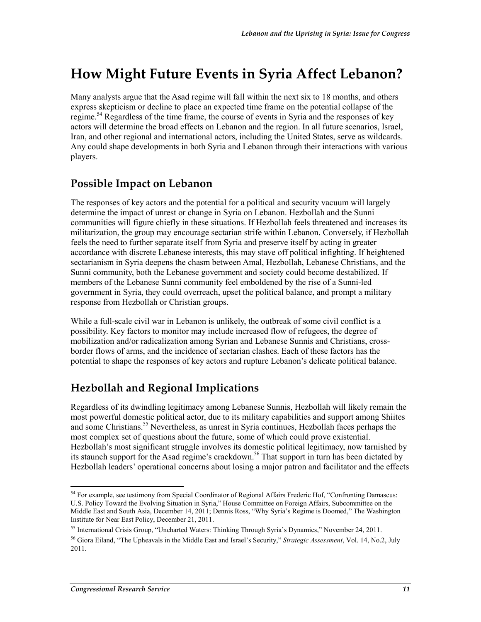## **How Might Future Events in Syria Affect Lebanon?**

Many analysts argue that the Asad regime will fall within the next six to 18 months, and others express skepticism or decline to place an expected time frame on the potential collapse of the regime.<sup>54</sup> Regardless of the time frame, the course of events in Syria and the responses of key actors will determine the broad effects on Lebanon and the region. In all future scenarios, Israel, Iran, and other regional and international actors, including the United States, serve as wildcards. Any could shape developments in both Syria and Lebanon through their interactions with various players.

### **Possible Impact on Lebanon**

The responses of key actors and the potential for a political and security vacuum will largely determine the impact of unrest or change in Syria on Lebanon. Hezbollah and the Sunni communities will figure chiefly in these situations. If Hezbollah feels threatened and increases its militarization, the group may encourage sectarian strife within Lebanon. Conversely, if Hezbollah feels the need to further separate itself from Syria and preserve itself by acting in greater accordance with discrete Lebanese interests, this may stave off political infighting. If heightened sectarianism in Syria deepens the chasm between Amal, Hezbollah, Lebanese Christians, and the Sunni community, both the Lebanese government and society could become destabilized. If members of the Lebanese Sunni community feel emboldened by the rise of a Sunni-led government in Syria, they could overreach, upset the political balance, and prompt a military response from Hezbollah or Christian groups.

While a full-scale civil war in Lebanon is unlikely, the outbreak of some civil conflict is a possibility. Key factors to monitor may include increased flow of refugees, the degree of mobilization and/or radicalization among Syrian and Lebanese Sunnis and Christians, crossborder flows of arms, and the incidence of sectarian clashes. Each of these factors has the potential to shape the responses of key actors and rupture Lebanon's delicate political balance.

## **Hezbollah and Regional Implications**

Regardless of its dwindling legitimacy among Lebanese Sunnis, Hezbollah will likely remain the most powerful domestic political actor, due to its military capabilities and support among Shiites and some Christians.<sup>55</sup> Nevertheless, as unrest in Syria continues, Hezbollah faces perhaps the most complex set of questions about the future, some of which could prove existential. Hezbollah's most significant struggle involves its domestic political legitimacy, now tarnished by its staunch support for the Asad regime's crackdown.<sup>56</sup> That support in turn has been dictated by Hezbollah leaders' operational concerns about losing a major patron and facilitator and the effects

<sup>&</sup>lt;sup>54</sup> For example, see testimony from Special Coordinator of Regional Affairs Frederic Hof, "Confronting Damascus: U.S. Policy Toward the Evolving Situation in Syria," House Committee on Foreign Affairs, Subcommittee on the Middle East and South Asia, December 14, 2011; Dennis Ross, "Why Syria's Regime is Doomed," The Washington Institute for Near East Policy, December 21, 2011.

<sup>55</sup> International Crisis Group, "Uncharted Waters: Thinking Through Syria's Dynamics," November 24, 2011.

<sup>56</sup> Giora Eiland, "The Upheavals in the Middle East and Israel's Security," *Strategic Assessment*, Vol. 14, No.2, July 2011.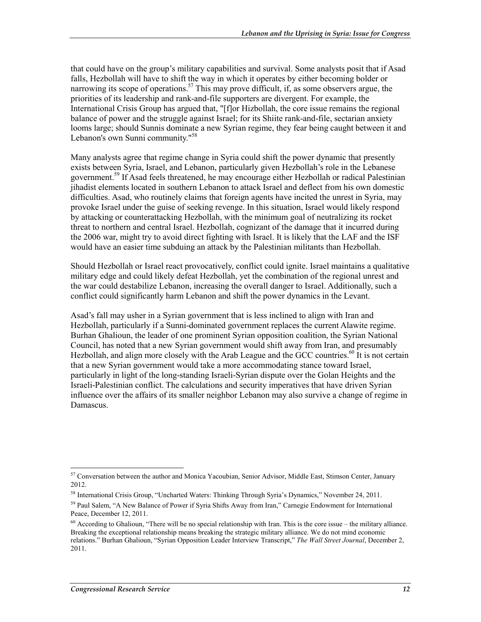that could have on the group's military capabilities and survival. Some analysts posit that if Asad falls, Hezbollah will have to shift the way in which it operates by either becoming bolder or narrowing its scope of operations.<sup>57</sup> This may prove difficult, if, as some observers argue, the priorities of its leadership and rank-and-file supporters are divergent. For example, the International Crisis Group has argued that, "[f]or Hizbollah, the core issue remains the regional balance of power and the struggle against Israel; for its Shiite rank-and-file, sectarian anxiety looms large; should Sunnis dominate a new Syrian regime, they fear being caught between it and Lebanon's own Sunni community."<sup>58</sup>

Many analysts agree that regime change in Syria could shift the power dynamic that presently exists between Syria, Israel, and Lebanon, particularly given Hezbollah's role in the Lebanese government.<sup>59</sup> If Asad feels threatened, he may encourage either Hezbollah or radical Palestinian jihadist elements located in southern Lebanon to attack Israel and deflect from his own domestic difficulties. Asad, who routinely claims that foreign agents have incited the unrest in Syria, may provoke Israel under the guise of seeking revenge. In this situation, Israel would likely respond by attacking or counterattacking Hezbollah, with the minimum goal of neutralizing its rocket threat to northern and central Israel. Hezbollah, cognizant of the damage that it incurred during the 2006 war, might try to avoid direct fighting with Israel. It is likely that the LAF and the ISF would have an easier time subduing an attack by the Palestinian militants than Hezbollah.

Should Hezbollah or Israel react provocatively, conflict could ignite. Israel maintains a qualitative military edge and could likely defeat Hezbollah, yet the combination of the regional unrest and the war could destabilize Lebanon, increasing the overall danger to Israel. Additionally, such a conflict could significantly harm Lebanon and shift the power dynamics in the Levant.

Asad's fall may usher in a Syrian government that is less inclined to align with Iran and Hezbollah, particularly if a Sunni-dominated government replaces the current Alawite regime. Burhan Ghalioun, the leader of one prominent Syrian opposition coalition, the Syrian National Council, has noted that a new Syrian government would shift away from Iran, and presumably Hezbollah, and align more closely with the Arab League and the  $\rm{GCC}$  countries.<sup>60</sup> It is not certain that a new Syrian government would take a more accommodating stance toward Israel, particularly in light of the long-standing Israeli-Syrian dispute over the Golan Heights and the Israeli-Palestinian conflict. The calculations and security imperatives that have driven Syrian influence over the affairs of its smaller neighbor Lebanon may also survive a change of regime in Damascus.

<sup>&</sup>lt;sup>57</sup> Conversation between the author and Monica Yacoubian, Senior Advisor, Middle East, Stimson Center, January 2012.

<sup>58</sup> International Crisis Group, "Uncharted Waters: Thinking Through Syria's Dynamics," November 24, 2011.

<sup>&</sup>lt;sup>59</sup> Paul Salem, "A New Balance of Power if Syria Shifts Away from Iran," Carnegie Endowment for International Peace, December 12, 2011.

 $60$  According to Ghalioun, "There will be no special relationship with Iran. This is the core issue – the military alliance. Breaking the exceptional relationship means breaking the strategic military alliance. We do not mind economic relations." Burhan Ghalioun, "Syrian Opposition Leader Interview Transcript," *The Wall Street Journal*, December 2, 2011.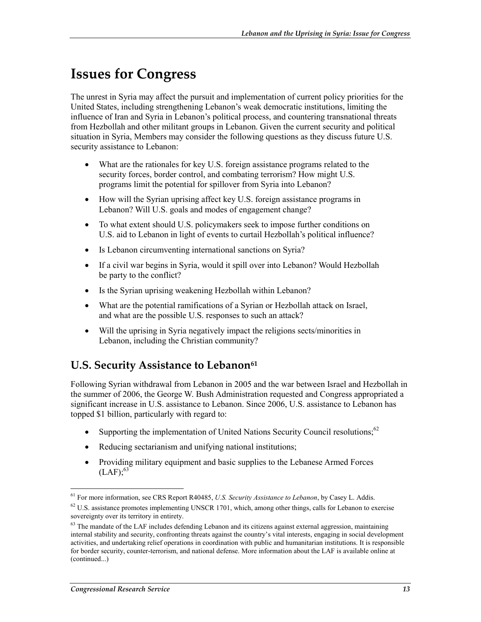## **Issues for Congress**

The unrest in Syria may affect the pursuit and implementation of current policy priorities for the United States, including strengthening Lebanon's weak democratic institutions, limiting the influence of Iran and Syria in Lebanon's political process, and countering transnational threats from Hezbollah and other militant groups in Lebanon. Given the current security and political situation in Syria, Members may consider the following questions as they discuss future U.S. security assistance to Lebanon:

- What are the rationales for key U.S. foreign assistance programs related to the security forces, border control, and combating terrorism? How might U.S. programs limit the potential for spillover from Syria into Lebanon?
- How will the Syrian uprising affect key U.S. foreign assistance programs in Lebanon? Will U.S. goals and modes of engagement change?
- To what extent should U.S. policymakers seek to impose further conditions on U.S. aid to Lebanon in light of events to curtail Hezbollah's political influence?
- Is Lebanon circumventing international sanctions on Syria?
- If a civil war begins in Syria, would it spill over into Lebanon? Would Hezbollah be party to the conflict?
- Is the Syrian uprising weakening Hezbollah within Lebanon?
- What are the potential ramifications of a Syrian or Hezbollah attack on Israel, and what are the possible U.S. responses to such an attack?
- Will the uprising in Syria negatively impact the religions sects/minorities in Lebanon, including the Christian community?

### **U.S. Security Assistance to Lebanon**<sup>61</sup>

Following Syrian withdrawal from Lebanon in 2005 and the war between Israel and Hezbollah in the summer of 2006, the George W. Bush Administration requested and Congress appropriated a significant increase in U.S. assistance to Lebanon. Since 2006, U.S. assistance to Lebanon has topped \$1 billion, particularly with regard to:

- Supporting the implementation of United Nations Security Council resolutions; $62$
- Reducing sectarianism and unifying national institutions;
- Providing military equipment and basic supplies to the Lebanese Armed Forces  $(LAF)$ ;<sup>63</sup>

<sup>61</sup> For more information, see CRS Report R40485, *U.S. Security Assistance to Lebanon*, by Casey L. Addis.

 $62$  U.S. assistance promotes implementing UNSCR 1701, which, among other things, calls for Lebanon to exercise sovereignty over its territory in entirety.

 $63$  The mandate of the LAF includes defending Lebanon and its citizens against external aggression, maintaining internal stability and security, confronting threats against the country's vital interests, engaging in social development activities, and undertaking relief operations in coordination with public and humanitarian institutions. It is responsible for border security, counter-terrorism, and national defense. More information about the LAF is available online at (continued...)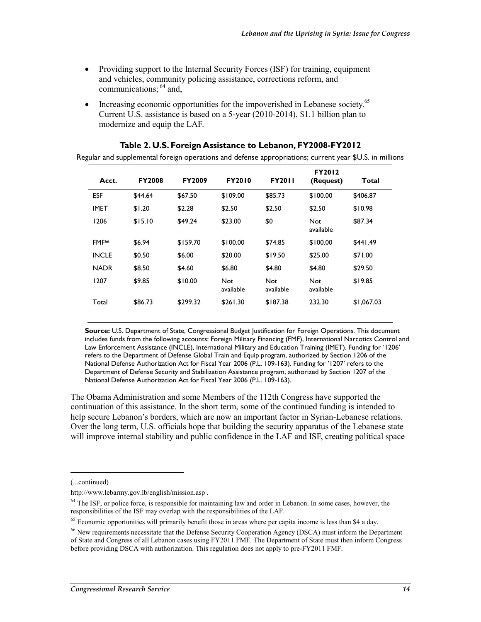- Providing support to the Internal Security Forces (ISF) for training, equipment and vehicles, community policing assistance, corrections reform, and communications; 64 and,
- Increasing economic opportunities for the impoverished in Lebanese society.<sup>65</sup> Current U.S. assistance is based on a 5-year (2010-2014), \$1.1 billion plan to modernize and equip the LAF.

|                   |               |               |                         |                         | <b>FY2012</b>           |            |
|-------------------|---------------|---------------|-------------------------|-------------------------|-------------------------|------------|
| Acct.             | <b>FY2008</b> | <b>FY2009</b> | <b>FY2010</b>           | <b>FY2011</b>           | (Request)               | Total      |
| <b>ESF</b>        | \$44.64       | \$67.50       | \$109.00                | \$85.73                 | \$100.00                | \$406.87   |
| <b>IMET</b>       | \$1.20        | \$2.28        | \$2.50                  | \$2.50                  | \$2.50                  | \$10.98    |
| 1206              | \$15.10       | \$49.24       | \$23.00                 | \$0                     | <b>Not</b><br>available | \$87.34    |
| FMF <sub>66</sub> | \$6.94        | \$159.70      | \$100.00                | \$74.85                 | \$100.00                | \$441.49   |
| <b>INCLE</b>      | \$0.50        | \$6.00        | \$20.00                 | \$19.50                 | \$25.00                 | \$71.00    |
| <b>NADR</b>       | \$8.50        | \$4.60        | \$6.80                  | \$4.80                  | \$4.80                  | \$29.50    |
| 1207              | \$9.85        | \$10.00       | <b>Not</b><br>available | <b>Not</b><br>available | Not<br>available        | \$19.85    |
| Total             | \$86.73       | \$299.32      | \$261.30                | \$187.38                | 232.30                  | \$1,067.03 |

#### **Table 2. U.S. Foreign Assistance to Lebanon, FY2008-FY2012**

Regular and supplemental foreign operations and defense appropriations; current year \$U.S. in millions

**Source:** U.S. Department of State, Congressional Budget Justification for Foreign Operations. This document includes funds from the following accounts: Foreign Military Financing (FMF), International Narcotics Control and Law Enforcement Assistance (INCLE), International Military and Education Training (IMET). Funding for '1206' refers to the Department of Defense Global Train and Equip program, authorized by Section 1206 of the National Defense Authorization Act for Fiscal Year 2006 (P.L. 109-163). Funding for '1207' refers to the Department of Defense Security and Stabilization Assistance program, authorized by Section 1207 of the National Defense Authorization Act for Fiscal Year 2006 (P.L. 109-163).

The Obama Administration and some Members of the 112th Congress have supported the continuation of this assistance. In the short term, some of the continued funding is intended to help secure Lebanon's borders, which are now an important factor in Syrian-Lebanese relations. Over the long term, U.S. officials hope that building the security apparatus of the Lebanese state will improve internal stability and public confidence in the LAF and ISF, creating political space

<sup>(...</sup>continued)

http://www.lebarmy.gov.lb/english/mission.asp .

<sup>&</sup>lt;sup>64</sup> The ISF, or police force, is responsible for maintaining law and order in Lebanon. In some cases, however, the responsibilities of the ISF may overlap with the responsibilities of the LAF.

<sup>&</sup>lt;sup>65</sup> Economic opportunities will primarily benefit those in areas where per capita income is less than \$4 a day.

<sup>&</sup>lt;sup>66</sup> New requirements necessitate that the Defense Security Cooperation Agency (DSCA) must inform the Department of State and Congress of all Lebanon cases using FY2011 FMF. The Department of State must then inform Congress before providing DSCA with authorization. This regulation does not apply to pre-FY2011 FMF.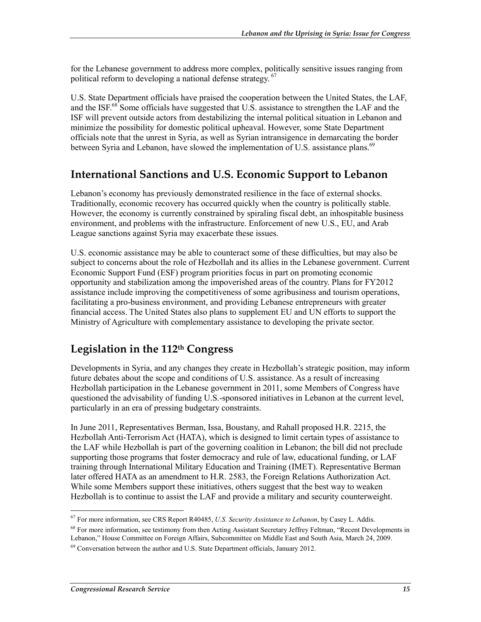for the Lebanese government to address more complex, politically sensitive issues ranging from political reform to developing a national defense strategy. <sup>67</sup>

U.S. State Department officials have praised the cooperation between the United States, the LAF, and the ISF.<sup>68</sup> Some officials have suggested that U.S. assistance to strengthen the LAF and the ISF will prevent outside actors from destabilizing the internal political situation in Lebanon and minimize the possibility for domestic political upheaval. However, some State Department officials note that the unrest in Syria, as well as Syrian intransigence in demarcating the border between Syria and Lebanon, have slowed the implementation of U.S. assistance plans.<sup>69</sup>

### **International Sanctions and U.S. Economic Support to Lebanon**

Lebanon's economy has previously demonstrated resilience in the face of external shocks. Traditionally, economic recovery has occurred quickly when the country is politically stable. However, the economy is currently constrained by spiraling fiscal debt, an inhospitable business environment, and problems with the infrastructure. Enforcement of new U.S., EU, and Arab League sanctions against Syria may exacerbate these issues.

U.S. economic assistance may be able to counteract some of these difficulties, but may also be subject to concerns about the role of Hezbollah and its allies in the Lebanese government. Current Economic Support Fund (ESF) program priorities focus in part on promoting economic opportunity and stabilization among the impoverished areas of the country. Plans for FY2012 assistance include improving the competitiveness of some agribusiness and tourism operations, facilitating a pro-business environment, and providing Lebanese entrepreneurs with greater financial access. The United States also plans to supplement EU and UN efforts to support the Ministry of Agriculture with complementary assistance to developing the private sector.

## **Legislation in the 112th Congress**

Developments in Syria, and any changes they create in Hezbollah's strategic position, may inform future debates about the scope and conditions of U.S. assistance. As a result of increasing Hezbollah participation in the Lebanese government in 2011, some Members of Congress have questioned the advisability of funding U.S.-sponsored initiatives in Lebanon at the current level, particularly in an era of pressing budgetary constraints.

In June 2011, Representatives Berman, Issa, Boustany, and Rahall proposed H.R. 2215, the Hezbollah Anti-Terrorism Act (HATA), which is designed to limit certain types of assistance to the LAF while Hezbollah is part of the governing coalition in Lebanon; the bill did not preclude supporting those programs that foster democracy and rule of law, educational funding, or LAF training through International Military Education and Training (IMET). Representative Berman later offered HATA as an amendment to H.R. 2583, the Foreign Relations Authorization Act. While some Members support these initiatives, others suggest that the best way to weaken Hezbollah is to continue to assist the LAF and provide a military and security counterweight.

<sup>67</sup> For more information, see CRS Report R40485, *U.S. Security Assistance to Lebanon*, by Casey L. Addis.

<sup>&</sup>lt;sup>68</sup> For more information, see testimony from then Acting Assistant Secretary Jeffrey Feltman, "Recent Developments in Lebanon," House Committee on Foreign Affairs, Subcommittee on Middle East and South Asia, March 24, 2009.

 $69$  Conversation between the author and U.S. State Department officials, January 2012.